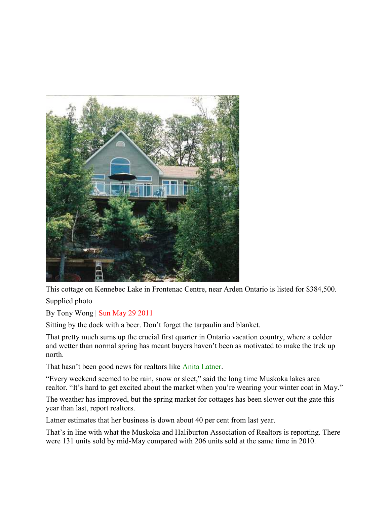

This cottage on Kennebec Lake in Frontenac Centre, near Arden Ontario is listed for \$384,500. Supplied photo

By Tony Wong | Sun May 29 2011

Sitting by the dock with a beer. Don't forget the tarpaulin and blanket.

That pretty much sums up the crucial first quarter in Ontario vacation country, where a colder and wetter than normal spring has meant buyers haven't been as motivated to make the trek up north.

That hasn't been good news for realtors like Anita Latner.

"Every weekend seemed to be rain, snow or sleet," said the long time Muskoka lakes area realtor. "It's hard to get excited about the market when you're wearing your winter coat in May."

The weather has improved, but the spring market for cottages has been slower out the gate this year than last, report realtors.

Latner estimates that her business is down about 40 per cent from last year.

That's in line with what the Muskoka and Haliburton Association of Realtors is reporting. There were 131 units sold by mid-May compared with 206 units sold at the same time in 2010.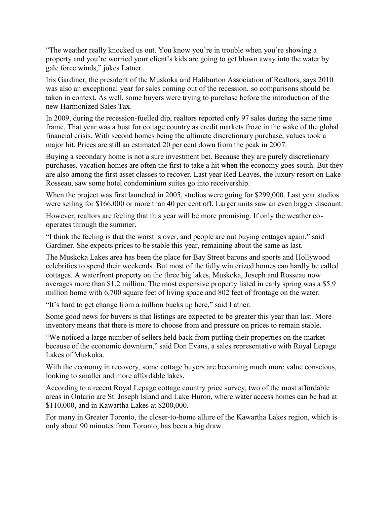"The weather really knocked us out. You know you're in trouble when you're showing a property and you're worried your client's kids are going to get blown away into the water by gale force winds," jokes Latner.

Iris Gardiner, the president of the Muskoka and Haliburton Association of Realtors, says 2010 was also an exceptional year for sales coming out of the recession, so comparisons should be taken in context. As well, some buyers were trying to purchase before the introduction of the new Harmonized Sales Tax.

In 2009, during the recession-fuelled dip, realtors reported only 97 sales during the same time frame. That year was a bust for cottage country as credit markets froze in the wake of the global financial crisis. With second homes being the ultimate discretionary purchase, values took a major hit. Prices are still an estimated 20 per cent down from the peak in 2007.

Buying a secondary home is not a sure investment bet. Because they are purely discretionary purchases, vacation homes are often the first to take a hit when the economy goes south. But they are also among the first asset classes to recover. Last year Red Leaves, the luxury resort on Lake Rosseau, saw some hotel condominium suites go into receivership.

When the project was first launched in 2005, studios were going for \$299,000. Last year studios were selling for \$166,000 or more than 40 per cent off. Larger units saw an even bigger discount.

However, realtors are feeling that this year will be more promising. If only the weather cooperates through the summer.

"I think the feeling is that the worst is over, and people are out buying cottages again," said Gardiner. She expects prices to be stable this year, remaining about the same as last.

The Muskoka Lakes area has been the place for Bay Street barons and sports and Hollywood celebrities to spend their weekends. But most of the fully winterized homes can hardly be called cottages. A waterfront property on the three big lakes, Muskoka, Joseph and Rosseau now averages more than \$1.2 million. The most expensive property listed in early spring was a \$5.9 million home with 6,700 square feet of living space and 802 feet of frontage on the water.

"It's hard to get change from a million bucks up here," said Latner.

Some good news for buyers is that listings are expected to be greater this year than last. More inventory means that there is more to choose from and pressure on prices to remain stable.

"We noticed a large number of sellers held back from putting their properties on the market because of the economic downturn," said Don Evans, a sales representative with Royal Lepage Lakes of Muskoka.

With the economy in recovery, some cottage buyers are becoming much more value conscious, looking to smaller and more affordable lakes.

According to a recent Royal Lepage cottage country price survey, two of the most affordable areas in Ontario are St. Joseph Island and Lake Huron, where water access homes can be had at \$110,000, and in Kawartha Lakes at \$200,000.

For many in Greater Toronto, the closer-to-home allure of the Kawartha Lakes region, which is only about 90 minutes from Toronto, has been a big draw.